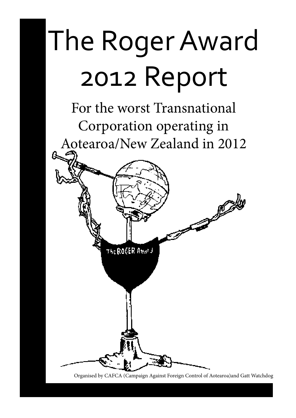# The Roger Award 2012 Report

For the worst Transnational Corporation operating in Aotearoa/New Zealand in 2012

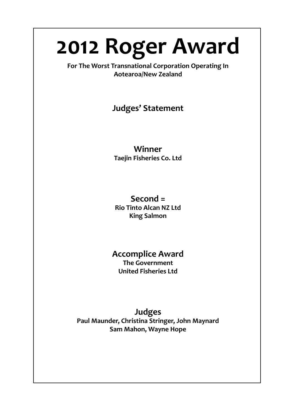## **2012 Roger Award**

**For The Worst Transnational Corporation Operating In Aotearoa/New Zealand**

## **Judges' Statement**

## **Winner Taejin Fisheries Co. Ltd**

## **Second = Rio Tinto Alcan NZ Ltd King Salmon**

## **Accomplice Award The Government United Fisheries Ltd**

## **Judges Paul Maunder, Christina Stringer, John Maynard Sam Mahon, Wayne Hope**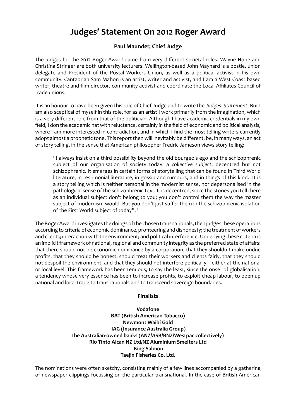## **Judges' Statement On 2012 Roger Award**

## **Paul Maunder, Chief Judge**

The judges for the 2012 Roger Award came from very different societal roles. Wayne Hope and Christina Stringer are both university lecturers. Wellington-based John Maynard is a postie, union delegate and President of the Postal Workers Union, as well as a political activist in his own community. Cantabrian Sam Mahon is an artist, writer and activist, and I am a West Coast based writer, theatre and film director, community activist and coordinate the Local Affiliates Council of trade unions.

It is an honour to have been given this role of Chief Judge and to write the Judges' Statement. But I am also sceptical of myself in this role, for as an artist I work primarily from the imagination, which is a very different role from that of the politician. Although I have academic credentials in my own field, I don the academic hat with reluctance, certainly in the field of economic and political analysis, where I am more interested in contradiction, and in which I find the most telling writers currently adopt almost a prophetic tone. This report then will inevitably be different, be, in many ways, an act of story telling, in the sense that American philosopher Fredric Jameson views story telling:

"I always insist on a third possibility beyond the old bourgeois ego and the schizophrenic subject of our organisation of society today: a collective subject, decentred but not schizophrenic. It emerges in certain forms of storytelling that can be found in Third World literature, in testimonial literature, in gossip and rumours, and in things of this kind. It is a story telling which is neither personal in the modernist sense, nor depersonalised in the pathological sense of the schizophrenic text. It is decentred, since the stories you tell there as an individual subject don't belong to you; you don't control them the way the master subject of modernism would. But you don't just suffer them in the schizophrenic isolation of the First World subject of today".<sup>1</sup>

The Roger Award investigates the doings of the chosen transnationals, then judges these operations according to criteria of economic dominance, profiteering and dishonesty; the treatment of workers and clients: interaction with the environment: and political interference. Underlying these criteria is an implicit framework of national, regional and community integrity as the preferred state of affairs: that there should not be economic dominance by a corporation, that they shouldn't make undue profits, that they should be honest, should treat their workers and clients fairly, that they should not despoil the environment, and that they should not interfere politically - either at the national or local level. This framework has been tenuous, to say the least, since the onset of globalisation, a tendency whose very essence has been to increase profits, to exploit cheap labour, to open up national and local trade to transnationals and to transcend sovereign boundaries.

## **Finalists**

**Vodafone BAT (British American Tobacco) Newmont Waihi Gold IAG (Insurance Australia Group) the Australian-owned banks (ANZ/ASB/BNZ/Westpac collectively) Rio Tinto Alcan NZ Ltd/NZ Aluminium Smelters Ltd King Salmon Taejin Fisheries Co. Ltd.**

The nominations were often sketchy, consisting mainly of a few lines accompanied by a gathering of newspaper clippings focussing on the particular transnational. In the case of British American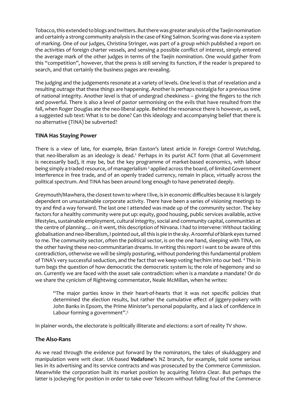Tobacco, this extended to blogs and twitters. But there was greater analysis of the Taejin nomination and certainly a strong community analysis in the case of King Salmon. Scoring was done via a system of marking. One of our judges, Christina Stringer, was part of a group which published a report on the activities of foreign charter vessels, and sensing a possible conflict of interest, simply entered the average mark of the other judges in terms of the Taejin nomination. One would gather from this "competition", however, that the press is still serving its function, if the reader is prepared to search, and that certainly the business pages are revealing.

The judging and the judgements resonate at a variety of levels. One level is that of revelation and a resulting outrage that these things are happening. Another is perhaps nostalgia for a previous time of national integrity. Another level is that of undergrad cheekiness – giving the fingers to the rich and powerful. There is also a level of pastor sermonising on the evils that have resulted from the fall, when Roger Douglas ate the neo-liberal apple. Behind the resonance there is however, as well, a suggested sub text: What is to be done? Can this ideology and accompanying belief that there is no alternative (TINA) be subverted?

#### **TINA Has Staying Power**

There is a view of late, for example, Brian Easton's latest article in Foreign Control Watchdog, that neo-liberalism as an ideology is dead.<sup>2</sup> Perhaps in its purist ACT form (that all Government is necessarily bad), it may be, but the key programme of market-based economics, with labour being simply a traded resource, of managerialism  $\frac{3}{2}$  applied across the board, of limited Government interference in free trade, and of an openly traded currency, remain in place, virtually across the political spectrum. And TINA has been around long enough to have penetrated deeply.

Greymouth/Mawhera, the closest town to where I live, is in economic difficulties because it is largely dependent on unsustainable corporate activity. There have been a series of visioning meetings to try and find a way forward. The last one I attended was made up of the community sector. The key factors for a healthy community were put up: equity, good housing, public services available, active lifestyles, sustainable employment, cultural integrity, social and community capital, communities at the centre of planning... on it went, this description of Nirvana. I had to intervene: Without tackling globalisation and neo-liberalism, I pointed out, all this is pie in the sky. A roomful of blank eyes turned to me. The community sector, often the political sector, is on the one hand, sleeping with TINA, on the other having these neo-communitarian dreams. In writing this report I want to be aware of this contradiction, otherwise we will be simply posturing, without pondering this fundamental problem of TINA's very successful seduction, and the fact that we keep voting her/him into our bed. 4 This in turn begs the question of how democratic the democratic system is; the role of hegemony and so on. Currently we are faced with the asset sale contradiction: when is a mandate a mandate? Or do we share the cynicism of Rightwing commentator, Neale McMillan, when he writes:

"The major parties know in their heart-of-hearts that it was not specific policies that determined the election results, but rather the cumulative effect of jiggery-pokery with John Banks in Epsom, the Prime Minister's personal popularity, and a lack of confidence in Labour forming a government".<sup>5</sup>

In plainer words, the electorate is politically illiterate and elections: a sort of reality TV show.

#### **The Also-Rans**

As we read through the evidence put forward by the nominators, the tales of skulduggery and manipulation were writ clear. UK-based **Vodafone**'s NZ branch, for example, told some serious lies in its advertising and its service contracts and was prosecuted by the Commerce Commission. Meanwhile the corporation built its market position by acquiring Telstra Clear. But perhaps the latter is jockeying for position in order to take over Telecom without falling foul of the Commerce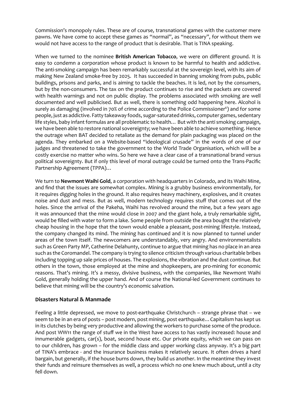Commission's monopoly rules. These are of course, transnational games with the customer mere pawns. We have come to accept these games as "normal", as "necessary", for without them we would not have access to the range of product that is desirable. That is TINA speaking.

When we turned to the nominee British American Tobacco, we were on different ground. It is easy to condemn a corporation whose product is known to be harmful to health and addictive. The anti-smoking campaign has been remarkably successful at the sovereign level, with its aim of making New Zealand smoke-free by 2025. It has succeeded in banning smoking from pubs, public buildings, prisons and parks, and is aiming to tackle the beaches. It is led, not by the consumers, but by the non-consumers. The tax on the product continues to rise and the packets are covered with health warnings and not on public display. The problems associated with smoking are well documented and well publicised. But as well, there is something odd happening here. Alcohol is surely as damaging (involved in 70% of crime according to the Police Commissioner $^{\circ}$ ) and for some people, just as addictive. Fatty takeaway foods, sugar-saturated drinks, computer games, sedentary life styles, baby infant formulas are all problematic to health... But with the anti smoking campaign, we have been able to restore national sovereignty; we have been able to achieve something. Hence the outrage when BAT decided to retaliate as the demand for plain packaging was placed on the agenda. They embarked on a Website-based "ideological crusade" in the words of one of our judges and threatened to take the government to the World Trade Organisation, which will be a costly exercise no matter who wins. So here we have a clear case of a transnational brand versus political sovereignty. But if only this level of moral outrage could be turned onto the Trans-Pacific Partnership Agreement (TPPA)...

We turn to **Newmont Waihi Gold**, a corporation with headquarters in Colorado, and its Waihi Mine, and find that the issues are somewhat complex. Mining is a grubby business environmentally, for it requires digging holes in the ground. It also requires heavy machinery, explosives, and it creates noise and dust and mess. But as well, modern technology requires stuff that comes out of the holes. Since the arrival of the Pakeha, Waihi has revolved around the mine, but a few years ago it was announced that the mine would close in 2007 and the giant hole, a truly remarkable sight, would be filled with water to form a lake. Some people from outside the area bought the relatively cheap housing in the hope that the town would enable a pleasant, post-mining lifestyle. Instead, the company changed its mind. The mining has continued and it is now planned to tunnel under areas of the town itself. The newcomers are understandably, very angry. And environmentalists such as Green Party MP, Catherine Delahunty, continue to argue that mining has no place in an area such as the Coromandel. The company is trying to silence criticism through various charitable bribes including topping up sale prices of houses. The explosions, the vibration and the dust continue. But others in the town, those employed at the mine and shopkeepers, are pro-mining for economic reasons. That's mining. It's a messy, divisive business, with the companies, like Newmont Waihi Gold, generally holding the upper hand. And of course the National-led Government continues to believe that mining will be the country's economic salvation.

#### **Disasters Natural & Manmade**

Feeling a little depressed, we move to post-earthquake Christchurch - strange phrase that - we seem to be in an era of posts - post modern, post mining, post earthquake... Capitalism has kept us in its clutches by being very productive and allowing the workers to purchase some of the produce. And post WW11 the range of stuff we in the West have access to has vastly increased: house and innumerable gadgets, car(s), boat, second house etc. Our private equity, which we can pass on to our children, has grown – for the middle class and upper working class anyway. It's a big part of TINA's embrace - and the insurance business makes it relatively secure. It often drives a hard bargain, but generally, if the house burns down, they build us another. In the meantime they invest their funds and reinsure themselves as well, a process which no one knew much about, until a city fell down.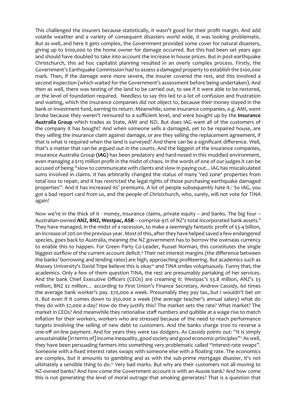This challenged the insurers because statistically, it wasn't good for their profit margin. And add volatile weather and a variety of consequent disasters world wide, it was looking problematic. But as well, and here it gets complex, the Government provided some cover for natural disasters, giving up to \$100,000 to the home owner for damage occurred. But this had been set years ago and should have doubled to take into account the increase in house prices. But in post-earthquake Christchurch, this ad hoc capitalist planning resulted in an overly complex process. Firstly, the Government's Earthquake Commission had to assess a damaged property to establish the \$100,000 mark. Then, if the damage were more severe, the insurer covered the rest, and this involved a second inspection (which waited for the Government's assessment before being undertaken). And then as well, there was testing of the land to be carried out, to see if it were able to be restored, or the level of foundation required. Needless to say this led to a lot of confusion and frustration and waiting, which the insurance companies did not object to, because their money stayed in the bank or investment fund, earning its return. Meanwhile, some insurance companies, e.g. AMI, went broke because they weren't reinsured to a sufficient level, and were bought up by the Insurance Australia Group which trades as State, AMI and NZI. But does IAG want all of the customers of the company it has bought? And when someone sells a damaged, yet to be repaired house, are they selling the insurance claim against damage, or are they selling the replacement agreement, if that is what is required when the land is surveyed? And there can be a significant difference. Well, that's a matter that can be argued out in the courts. And the biggest of the insurance companies, Insurance Australia Group (IAG) has been predatory and hard-nosed in this muddled environment, even managing a \$115 million profit in the midst of chaos. In the words of one of our judges it can be accused of being "slow to communicate with clients and slow in paying out... IAG has miscalculated sums involved in claims. It has arbitrarily changed the status of many 'red zone' properties from total loss to repair, and it has restricted the legal rights of those purchasing earthquake damaged properties". And it has increased its' premiums. A lot of people subsequently hate it.<sup>7</sup> So IAG, you got a bad report card from us, and the people of Christchurch, who, surely, will not vote for TINA again?

Now we're in the thick of it - money, insurance claims, private equity – and banks. The big four – Australian-owned ANZ, BNZ, Westpac, ASB - comprise 91% of NZ's total incorporated bank assets.<sup>8</sup> They have managed, in the midst of a recession, to make a seemingly fantastic profit of \$3-4 billion. an increase of 20% on the previous year. Most of this, after they have helped saved a few endangered species, goes back to Australia, meaning the NZ government has to borrow the overseas currency to enable this to happen. For Green Party Co-Leader, Russel Norman, this constitutes the single biggest outflow of the current account deficit.<sup>9</sup> Their net interest margins (the difference between the banks' borrowing and lending rates) are high, approaching profiteering. But academics such as Massey University's David Tripe believe this is okay<sup>10</sup> and TINA smiles voluptuously. Funny that, the academics. Only a few of them question TINA, the rest are presumably partaking of her services. And the bank Chief Executive Officers (CEOs) are creaming it: Westpac's \$3.8 million, ANZ's \$3 million, BNZ \$2 million... according to First Union's Finance Secretary, Andrew Cassidy, 60 times the average bank worker's pay. \$70,000 a week. Presumably they pay tax, but I wouldn't bet on it. But even if it comes down to \$50,000 a week (the average teacher's annual salary) what do they do with \$7,000 a day? How do they justify this? The market sets the rate? What market? The market in CEOs? And meanwhile they rationalise staff numbers and quibble at a wage rise to match inflation for their workers, workers who are stressed because of the need to reach performance targets involving the selling of new debt to customers. And the banks charge \$100 to reverse a one-off on-line payment. And for years they were tax dodgers. As Cassidy points out: "It is simply unsustainable [in terms of] income inequality, good society and good economic principles"<sup>11</sup> As well, they have been persuading farmers into something very problematic called "interest-rate swaps". Someone with a fixed interest rates swaps with someone else with a floating rate. The economics are complex, but it amounts to gambling and as with the sub-prime mortgage disaster, it's not ultimately a sensible thing to do.<sup>12</sup> Very bad marks. But why are their customers not all moving to NZ-owned banks? And how come the Government account is with an Aussie bank? And how come this is not generating the level of moral outrage that smoking generates? That is a question that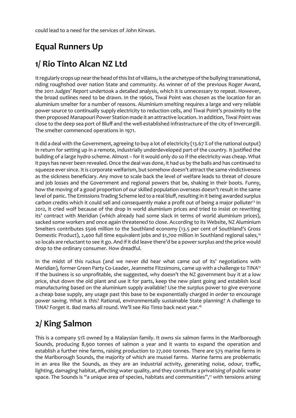could lead to a need for the services of John Kirwan.

## **Equal Runners Up**

## **1/ Rio Tinto Alcan NZ Ltd**

It regularly crops up near the head of this list of villains, is the archetype of the bullying transnational, riding roughshod over nation State and community. As winner of of the previous Roger Award, the 2011 *Judges' Report* undertook a detailed analysis, which it is unnecessary to repeat. However, the broad outlines need to be drawn. In the 1960s, Tiwai Point was chosen as the location for an aluminium smelter for a number of reasons. Aluminium smelting requires a large and very reliable power source to continually supply electricity to reduction cells, and Tiwai Point's proximity to the then proposed Manapouri Power Station made it an attractive location. In addition, Tiwai Point was close to the deep sea port of Bluff and the well-established infrastructure of the city of Invercargill. The smelter commenced operations in 1971.

It did a deal with the Government, agreeing to buy a lot of electricity (13.67 % of the national output) in return for setting up in a remote, industrially underdeveloped part of the country. It justified the building of a large hydro scheme. Almost – for it would only do so if the electricity was cheap. What it pays has never been revealed. Once the deal was done, it had us by the balls and has continued to squeeze ever since. It is corporate welfarism, but somehow doesn't attract the same vindictiveness as the sickness beneficiary. Any move to scale back the level of welfare leads to threat of closure and job losses and the Government and regional powers that be, shaking in their boots. Funny, how the moving of a good proportion of our skilled population overseas doesn't result in the same level of panic. The Emissions Trading Scheme led to a real bluff, resulting in it being awarded surplus carbon credits which it could sell and consequently make a profit out of being a major polluter<sup>13</sup> In 2012, it cried wolf because of the drop in world aluminium prices and tried to insist on rewriting its' contract with Meridian (which already had some slack in terms of world aluminium prices), sacked some workers and once again threatened to close. According to its Website, NZ Aluminium Smelters contributes \$506 million to the Southland economy (13.5 per cent of Southland's Gross Domestic Product), 2,400 full time equivalent jobs and \$1,700 million in Southland regional sales,<sup>14</sup> so locals are reluctant to see it go. And if it did leave there'd be a power surplus and the price would drop to the ordinary consumer. How dreadful.

In the midst of this ruckus (and we never did hear what came out of its' negotiations with Meridian), former Green Party Co-Leader, Jeannette Fitzsimons, came up with a challenge to TINA<sup>15</sup> If the business is so unprofitable, she suggested, why doesn't the NZ government buy it at a low price, shut down the old plant and use it for parts, keep the new plant going and establish local manufacturing based on the aluminium supply available? Use the surplus power to give everyone a cheap base supply, any usage past this base to be exponentially charged in order to encourage power saving. What is this? Rational, environmentally sustainable State planning? A challenge to TINA? Forget it. Bad marks all round. We'll see Rio Tinto back next year.<sup>16</sup>

## **2/ King Salmon**

This is a company 51% owned by a Malaysian family. It owns six salmon farms in the Marlborough Sounds, producing 8,900 tonnes of salmon a year and it wants to expand the operation and establish a further nine farms, raising production to 27,000 tonnes. There are 575 marine farms in the Marlborough Sounds, the majority of which are mussel farms. Marine farms are problematic in an area like the Sounds, as they are an industrial activity, generating noise, odour, traffic, lighting, damaging habitat, affecting water quality, and they constitute a privatising of public water space. The Sounds is "a unique area of species, habitats and communities",<sup>17</sup> with tensions arising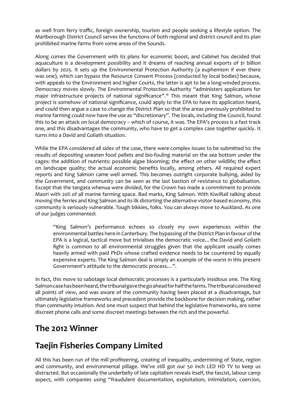as well from ferry traffic, foreign ownership, tourism and people seeking a lifestyle option. The Marlborough District Council serves the functions of both regional and district council and its plan prohibited marine farms from some areas of the Sounds.

Along comes the Government with its plans for economic boost, and Cabinet has decided that aquaculture is a development possibility and it dreams of reaching annual exports of \$1 billion dollars by 2025. It sets up the Environmental Protection Authority (a euphemism if ever there was one), which can bypass the Resource Consent Process (conducted by local bodies) because, with appeals to the Environment and higher Courts, the latter is apt to be a long-winded process. Democracy moves slowly. The Environmental Protection Authority "administers applications for major infrastructure projects of national significance".<sup>8</sup> This meant that King Salmon, whose project is somehow of national significance, could apply to the EPA to have its application heard, and could then argue a case to change the District Plan so that the areas previously prohibited to marine farming could now have the use as "discretionary". The locals, including the Council, found this to be an attack on local democracy - which of course, it was. The EPA's process is a fast track one, and this disadvantages the community, who have to get a complex case together quickly. It turns into a David and Goliath situation.

While the EPA considered all sides of the case, there were complex issues to be submitted to: the results of depositing uneaten food pellets and bio-fouling material on the sea bottom under the cages: the addition of nutrients: possible algae blooming; the effect on other wildlife; the effect on landscape quality; the actual economic benefits locally, among others. All required expert reports and King Salmon came well armed. This becomes outright corporate bullying, aided by the Government, and community can be seen as the last bastion of resistance to globalisation. Except that the tangata whenua were divided, for the Crown has made a commitment to provide Maori with 20% of all marine farming space. Bad marks, King Salmon. With KiwiRail talking about moving the ferries and King Salmon and its ilk distorting the alternative visitor-based economy, this community is seriously vulnerable. Tough bikkies, folks. You can always move to Auckland. As one of our judges commented:

"King Salmon's performance echoes so closely my own experiences within the environmental battles here in Canterbury. The bypassing of the District Plan in favour of the EPA is a logical, tactical move but trivialises the democratic voice... the David and Goliath fight is common to all environmental struggles given that the applicant usually comes heavily armed with paid PhDs whose crafted evidence needs to be countered by equally expensive experts. The King Salmon deal is simply an example of the worst in this present Government's attitude to the democratic process...".

In fact, this move to sabotage local democratic processes is a particularly insidious one. The King Salmon case has been heard, the tribunal gave the go ahead for half the farms. The tribunal considered all points of view, and was aware of the community having been placed at a disadvantage, but ultimately legislative frameworks and precedent provide the backbone for decision making, rather than community intuition. And one must suspect that behind the legislative frameworks, are some discreet phone calls and some discreet meetings between the rich and the powerful.

## **The 2012 Winner**

## **Taejin Fisheries Company Limited**

All this has been run of the mill profiteering, creating of inequality, undermining of State, region and community, and environmental pillage. We've still got our 50 inch LED HD TV to keep us distracted. But occasionally the underbelly of late capitalism reveals itself, the fascist, labour camp aspect, with companies using "fraudulent documentation, exploitation, intimidation, coercion,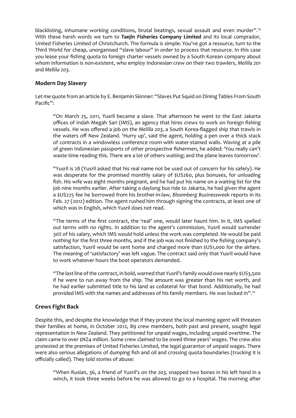blacklisting, inhumane working conditions, brutal beatings, sexual assault and even murder".<sup>19</sup> With these harsh words we turn to Taejin Fisheries Company Limited and its local comprador, United Fisheries Limited of Christchurch. The formula is simple: You've got a resource, turn to the Third World for cheap, unorganised "slave labour" in order to process that resource. In this case you lease your fishing quota to foreign charter vessels owned by a South Korean company about whom information is non-existent, who employ Indonesian crew on their two trawlers, Melilla 201 *Mellila 203*Ǥ

#### **Modern Day Slavery**

Let me quote from an article by E. Benjamin Skinner: "Slaves Put Squid on Dining Tables From South Pacific":

"On March 25, 2011, Yusril became a slave. That afternoon he went to the East Jakarta offices of Indah Megah Sari (IMS), an agency that hires crews to work on foreign fishing vessels. He was offered a job on the Melilla 203, a South Korea-flagged ship that trawls in the waters off New Zealand. 'Hurry up', said the agent, holding a pen over a thick stack of contracts in a windowless conference room with water-stained walls. Waving at a pile of green Indonesian passports of other prospective fishermen, he added: 'You really can't waste time reading this. There are a lot of others waiting; and the plane leaves tomorrow'.

"Yusril is 28 (Yusril asked that his real name not be used out of concern for his safety). He was desperate for the promised monthly salary of \$US260, plus bonuses, for unloading fish. His wife was eight months pregnant, and he had put his name on a waiting list for the job nine months earlier. After taking a daylong bus ride to Jakarta, he had given the agent a \$US225 fee he borrowed from his brother-in-law, Bloomberg Businessweek reports in its Feb. 27 (2012) edition. The agent rushed him through signing the contracts, at least one of which was in English, which Yusril does not read.

"The terms of the first contract, the 'real' one, would later haunt him. In it, IMS spelled out terms with no rights. In addition to the agent's commission, Yusril would surrender 30% of his salary, which IMS would hold unless the work was completed. He would be paid nothing for the first three months, and if the job was not finished to the fishing company's satisfaction, Yusril would be sent home and charged more than \$US1,000 for the airfare. The meaning of 'satisfactory' was left vague. The contract said only that Yusril would have to work whatever hours the boat operators demanded.

"The last line of the contract, in bold, warned that Yusril's family would owe nearly \$US3,500 if he were to run away from the ship. The amount was greater than his net worth, and he had earlier submitted title to his land as collateral for that bond. Additionally, he had provided IMS with the names and addresses of his family members. He was locked in".<sup>20</sup>

#### **Crews Fight Back**

Despite this, and despite the knowledge that if they protest the local manning agent will threaten their families at home, in October 2012, 89 crew members, both past and present, sought legal representation in New Zealand. They petitioned for unpaid wages, including unpaid overtime. The claim came to over \$NZ4 million. Some crew claimed to be owed three years' wages. The crew also protested at the premises of United Fisheries Limited, the legal guarantor of unpaid wages. There were also serious allegations of dumping fish and oil and crossing quota boundaries (trucking it is officially called). They told stories of abuse:

"When Ruslan, 36, a friend of Yusril's on the 203, snapped two bones in his left hand in a winch, it took three weeks before he was allowed to go to a hospital. The morning after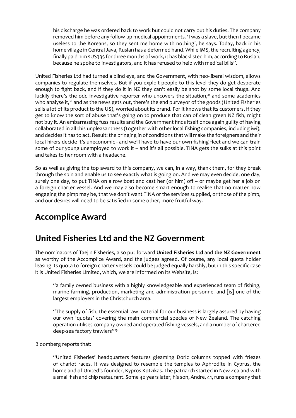his discharge he was ordered back to work but could not carry out his duties. The company removed him before any follow-up medical appointments. 'I was a slave, but then I became useless to the Koreans, so they sent me home with nothing', he says. Today, back in his home village in Central Java, Ruslan has a deformed hand. While IMS, the recruiting agency, finally paid him \$US335 for three months of work, it has blacklisted him, according to Ruslan, because he spoke to investigators, and it has refused to help with medical bills".

United Fisheries Ltd had turned a blind eye, and the Government, with neo-liberal wisdom, allows companies to regulate themselves. But if you exploit people to this level they do get desperate enough to fight back, and if they do it in NZ they can't easily be shot by some local thugs. And luckily there's the odd investigative reporter who uncovers the situation,<sup>21</sup> and some academics who analyse it,<sup>22</sup> and as the news gets out, there's the end purveyor of the goods (United Fisheries sells a lot of its product to the US), worried about its brand. For it knows that its customers, if they get to know the sort of abuse that's going on to produce that can of clean green NZ fish, might not buy it. An embarrassing fuss results and the Government finds itself once again guilty of having collaborated in all this unpleasantness (together with other local fishing companies, including iwi), and decides it has to act. Result: the bringing in of conditions that will make the foreigners and their local hirers decide it's uneconomic - and we'll have to have our own fishing fleet and we can train some of our young unemployed to work it - and it's all possible. TINA gets the sulks at this point and takes to her room with a headache.

So as well as giving the top award to this company, we can, in a way, thank them, for they break through the spin and enable us to see exactly what is going on. And we may even decide, one day, surely one day, to put TINA on a row boat and cast her (or him) off – or maybe get her a job on a foreign charter vessel. And we may also become smart enough to realise that no matter how engaging the pimp may be, that we don't want TINA or the services supplied, or those of the pimp, and our desires will need to be satisfied in some other, more fruitful way.

## **Accomplice Award**

## **United Fisheries Ltd and the NZ Government**

The nominators of Taejin Fisheries, also put forward United Fisheries Ltd and the NZ Government as worthy of the Accomplice Award, and the judges agreed. Of course, any local quota holder leasing its quota to foreign charter vessels could be judged equally harshly, but in this specific case it is United Fisheries Limited, which, we are informed on its Website, is:

"a family owned business with a highly knowledgeable and experienced team of fishing, marine farming, production, marketing and administration personnel and [is] one of the largest employers in the Christchurch area.

"The supply of fish, the essential raw material for our business is largely assured by having our own 'quotas' covering the main commercial species of New Zealand. The catching operation utilises company-owned and operated fishing vessels, and a number of chartered deep-sea factory trawlers"<sup>23</sup>

#### Bloomberg reports that:

"United Fisheries' headquarters features gleaming Doric columns topped with friezes of chariot races. It was designed to resemble the temples to Aphrodite in Cyprus, the homeland of United's founder, Kypros Kotzikas. The patriarch started in New Zealand with a small fish and chip restaurant. Some 40 years later, his son, Andre, 41, runs a company that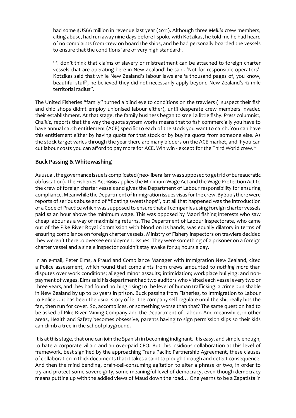had some \$US66 million in revenue last year (2011). Although three Melilla crew members, citing abuse, had run away nine days before I spoke with Kotzikas, he told me he had heard of no complaints from crew on board the ships, and he had personally boarded the vessels to ensure that the conditions 'are of very high standard'.

"I don't think that claims of slavery or mistreatment can be attached to foreign charter vessels that are operating here in New Zealand' he said. 'Not for responsible operators'. Kotzikas said that while New Zealand's labour laws are 'a thousand pages of, you know, beautiful stuff', he believed they did not necessarily apply beyond New Zealand's 12-mile territorial radius".

The United Fisheries "family" turned a blind eye to conditions on the trawlers (I suspect their fish and chip shops didn't employ unionised labour either), until desperate crew members invaded their establishment. At that stage, the family business began to smell a little fishy. Press columnist, Chalkie, reports that the way the quota system works means that to fish commercially you have to have annual catch entitlement (ACE) specific to each of the stock you want to catch. You can have this entitlement either by having quota for that stock or by buying quota from someone else. As the stock target varies through the year there are many bidders on the ACE market, and if you can cut labour costs you can afford to pay more for ACE. Win win - except for the Third World crew.<sup>24</sup>

## **Buck Passing & Whitewashing**

As usual, the governance issue is complicated (neo-liberalism was supposed to get rid of bureaucratic obfuscation). The Fisheries Act 1996 applies the Minimum Wage Act and the Wage Protection Act to the crew of foreign charter vessels and gives the Department of Labour responsibility for ensuring compliance. Meanwhile the Department of Immigration issues visas for the crew. By 2005 there were reports of serious abuse and of "floating sweatshops", but all that happened was the introduction of a Code of Practice which was supposed to ensure that all companies using foreign charter vessels paid \$2 an hour above the minimum wage. This was opposed by Maori fishing interests who saw cheap labour as a way of maximising returns. The Department of Labour inspectorate, who came out of the Pike River Royal Commission with blood on its hands, was equally dilatory in terms of ensuring compliance on foreign charter vessels. Ministry of Fishery inspectors on trawlers decided they weren't there to oversee employment issues. They were something of a prisoner on a foreign charter vessel and a single inspector couldn't stay awake for 24 hours a day.

In an e-mail, Peter Elms, a Fraud and Compliance Manager with Immigration New Zealand, cited a Police assessment, which found that complaints from crews amounted to nothing more than disputes over work conditions; alleged minor assaults; intimidation; workplace bullying; and nonpayment of wages. Elms said his department had two auditors who visited each vessel every two or three years, and they had found nothing rising to the level of human trafficking, a crime punishable in New Zealand by up to 20 years in prison. Buck passing from Fisheries, to Immigration to Labour to Police... it has been the usual story of let the company self regulate until the shit really hits the fan, then run for cover. So, accomplices, or something worse than that? The same question had to be asked of Pike River Mining Company and the Department of Labour. And meanwhile, in other areas, Health and Safety becomes obsessive, parents having to sign permission slips so their kids can climb a tree in the school playground.

It is at this stage, that one can join the Spanish in becoming indignant. It is easy, and simple enough, to hate a corporate villain and an over-paid CEO. But this insidious collaboration at this level of framework, best signified by the approaching Trans Pacific Partnership Agreement, these clauses of collaboration in thick documents that it takes a saint to plough through and detect consequence. And then the mind bending, brain-cell-consuming agitation to alter a phrase or two, in order to try and protect some sovereignty, some meaningful level of democracy, even though democracy means putting up with the addled views of Maud down the road... One yearns to be a Zapatista in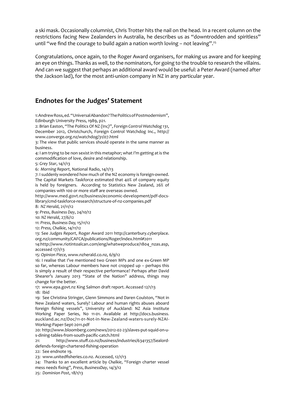a ski mask. Occasionally columnist, Chris Trotter hits the nail on the head. In a recent column on the restrictions facing New Zealanders in Australia, he describes us as "downtrodden and spiritless" until "we find the courage to build again a nation worth loving – not leaving".<sup>25</sup>

Congratulations, once again, to the Roger Award organisers, for making us aware and for keeping an eye on things. Thanks as well, to the nominators, for going to the trouble to research the villains. And can we suggest that perhaps an additional award would be useful: a Peter Award (named after the Jackson lad), for the most anti-union company in NZ in any particular year.

## **Endnotes for the Judges' Statement**

1: Andrew Ross, ed. "Universal Abandon? The Politics of Postmodernism", Edinburgh University Press, 1989, p21.

2: Brian Easton, "The Politics Of NZ (Inc)", Foreign Control Watchdog 131, December 2012, Christchurch, Foreign Control Watchdog Inc., http:// www.converge.org.nz/watchdog/31/07.html

3: The view that public services should operate in the same manner as business.

4: I am trying to be non sexist in this metaphor; what I'm getting at is the commodification of love, desire and relationship.

5: Grey Star, 14/1/13

6: Morning Report, National Radio, 14/1/13

7: I suddenly wondered how much of the NZ economy is foreign-owned. The Capital Markets Taskforce estimated that 40% of company equity is held by foreigners. According to Statistics New Zealand, 26% of companies with 100 or more staff are overseas owned.

http://www.med.govt.nz/business/economic-development/pdf-docslibrary/cmd-taskforce-research/structure-of-nz-companies.pdf

8: NZ Herald, 21/11/12

**9: Press, Business Day, 24/10/12** 

10: NZ Herald, 27/6/12

11: Press, Business Day, 15/11/12

12: Press, Chalkie, 14/11/12

13: See Judges Report, Roger Award 2011 http://canterbury.cyberplace. org.nz/community/CAFCA/publications/Roger/index.html#2011

14:http://www.riotintoalcan.com/eng/whatweproduce/1804 nzas.asp, accessed 17/1/13

15: Opinion Piece, www.nzherald.co.nz, 6/9/12

16: I realise that I've mentioned two Green MPs and one ex-Green MP so far, whereas Labour members have not cropped up - perhaps this is simply a result of their respective performance? Perhaps after David Shearer's January 2013 "State of the Nation" address, things may change for the better.

17: www.epa.govt.nz King Salmon draft report. Accessed 12/1/13 18: Ibid

19: See Christina Stringer, Glenn Simmons and Daren Coulston, "Not in New Zealand waters, Surely? Labour and human rights abuses aboard foreign fishing vessels", University of Auckland: NZ Asia Institute Working Paper Series, No 11-01. Available at http://docs.business. auckland.ac.nz/Doc/11-01-Not-in-New-Zealand-waters-surely-NZAI-Working-Paper-Sept-2011.pdf

20: http://www.bloomberg.com/news/2012-02-23/slaves-put-squid-on-us-dining-tables-from-south-pacific-catch.html

21: http://www.stuff.co.nz/business/industries/6341357/Sealorddefends-foreign-chartered-fishing-operation

22: See endnote 19.

23: www.unitedfisheries.co.nz. Accessed. 12/1/13

24: Thanks to an excellent article by Chalkie, "Foreign charter vessel mess needs fixing", Press, BusinessDay, 14/3/12

25: Dominion Post, 18/1/13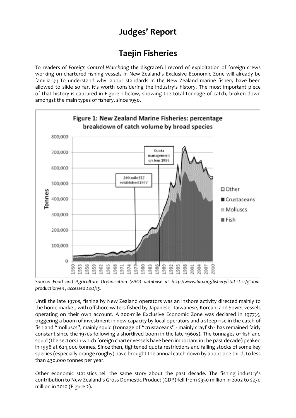## **Judges' Report**

## **Taejin Fisheries**

To readers of *Foreign Control Watchdog* working on chartered fishing vessels in New Zealand's Exclusive Economic Zone will already be familiar. $(t)$  To understand why labour standards in the New Zealand marine fishery have been allowed to slide so far, it's worth considering the industry's history. The most important piece of that history is captured in Figure 1 below, showing the total tonnage of catch, broken down amongst the main types of fishery, since 1950.



*Source: Food and Agriculture Organisation (FAO) database at http://www.fao.org/fishery/statistics/global[production/en](http://www.fao.org/fishery/statistics/global-production/en) , accessed 24/2/13.*

Until the late 1970s, fishing by New Zealand operators was an inshore activity directed mainly to the home market, with offshore waters fished by Japanese, Taiwanese, Korean, and Soviet vessels operating on their own account. A 200-mile Exclusive Economic Zone was declared in 1977(2), triggering a boom of investment in new capacity by local operators and a steep rise in the catch of fish and "molluscs", mainly squid (tonnage of "crustaceans" - mainly crayfish - has remained fairly constant since the 1970s following a shortlived boom in the late 1960s). The tonnages of fish and squid (the sectors in which foreign charter vessels have been important in the past decade) peaked in 1998 at 624,000 tonnes. Since then, tightened quota restrictions and falling stocks of some key species (especially orange roughy) have brought the annual catch down by about one third, to less than 430,000 tonnes per year.

Other economic statistics tell the same story about the past decade. The fishing industry's contribution to New Zealand's Gross Domestic Product (GDP) fell from \$350 million in 2002 to \$230 million in 2010 (Figure 2).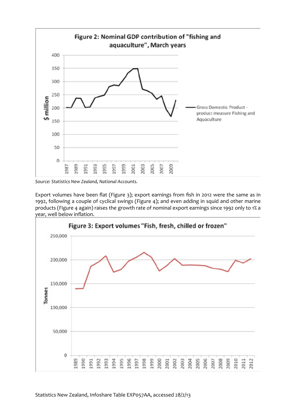

*Source: Statistics New Zealand, National Accounts.*

Export volumes have been flat (Figure 3); export earnings from fish in 2012 were the same as in 1992, following a couple of cyclical swings (Figure 4); and even adding in squid and other marine products (Figure 4 again) raises the growth rate of nominal export earnings since 1992 only to 1% a year, well below inflation.

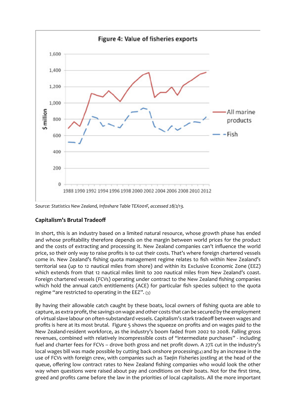

*Source: Statistics New Zealand, Infoshare Table TEX001F, accessed 28/2/13.*

## **Capitalism's Brutal Tradeoff**

In short, this is an industry based on a limited natural resource, whose growth phase has ended and whose profitability therefore depends on the margin between world prices for the product and the costs of extracting and processing it. New Zealand companies can't influence the world price, so their only way to raise profits is to cut their costs. That's where foreign chartered vessels come in. New Zealand's fishing quota management regime relates to fish within New Zealand's territorial sea (up to 12 nautical miles from shore) and within its Exclusive Economic Zone (EEZ) which extends from that 12 nautical miles limit to 200 nautical miles from New Zealand's coast. Foreign chartered vessels (FCVs) operating under contract to the New Zealand fishing companies which hold the annual catch entitlements (ACE) for particular fish species subject to the quota regime "are restricted to operating in the EEZ".  $(3)$ 

By having their allowable catch caught by these boats, local owners of fishing quota are able to capture, as extra profit, the savings on wage and other costs that can be secured by the employment of virtual slave labour on often-substandard vessels. Capitalism's stark tradeoff between wages and profits is here at its most brutal. Figure 5 shows the squeeze on profits and on wages paid to the New Zealand-resident workforce, as the industry's boom faded from 2002 to 2008. Falling gross revenues, combined with relatively incompressible costs of "intermediate purchases" - including fuel and charter fees for FCVs - drove both gross and net profit down. A 27% cut in the industry's local wages bill was made possible by cutting back onshore processing(4) and by an increase in the use of FCVs with foreign crew, with companies such as Taejin Fisheries jostling at the head of the queue, offering low contract rates to New Zealand fishing companies who would look the other way when questions were raised about pay and conditions on their boats. Not for the first time, greed and profits came before the law in the priorities of local capitalists. All the more important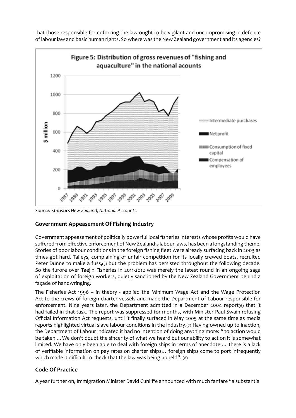that those responsible for enforcing the law ought to be vigilant and uncompromising in defence of labour law and basic human rights. So where was the New Zealand government and its agencies?



*Source: Statistics New Zealand, National Accounts.*

## **Government Appeasement Of Fishing Industry**

Government appeasement of politically powerful local fisheries interests whose profits would have suffered from effective enforcement of New Zealand's labour laws, has been a longstanding theme. Stories of poor labour conditions in the foreign fishing fleet were already surfacing back in 2003 as times got hard. Talleys, complaining of unfair competition for its locally crewed boats, recruited Peter Dunne to make a fuss,(5) but the problem has persisted throughout the following decade. So the furore over Taejin Fisheries in 2011-2012 was merely the latest round in an ongoing saga of exploitation of foreign workers, quietly sanctioned by the New Zealand Government behind a façade of handwringing.

The Fisheries Act 1996 - in theory - applied the Minimum Wage Act and the Wage Protection Act to the crews of foreign charter vessels and made the Department of Labour responsible for enforcement. Nine years later, the Department admitted in a December 2004 report(6) that it had failed in that task. The report was suppressed for months, with Minister Paul Swain refusing Official Information Act requests, until it finally surfaced in May 2005 at the same time as media reports highlighted virtual slave labour conditions in the industry.(7) Having owned up to inaction, the Department of Labour indicated it had no intention of doing anything more: "no action would be taken ... We don't doubt the sincerity of what we heard but our ability to act on it is somewhat limited. We have only been able to deal with foreign ships in terms of anecdote ... there is a lack of verifiable information on pay rates on charter ships... foreign ships come to port infrequently which made it difficult to check that the law was being upheld". (8)

## **Code Of Practice**

A year further on, Immigration Minister David Cunliffe announced with much fanfare "a substantial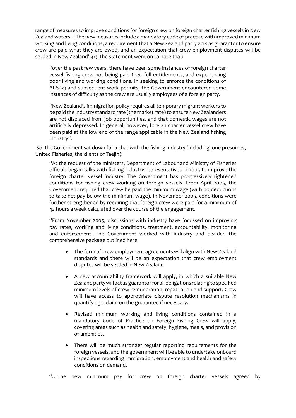range of measures to improve conditions for foreign crew on foreign charter fishing vessels in New Zealand waters... The new measures include a mandatory code of practice with improved minimum working and living conditions, a requirement that a New Zealand party acts as guarantor to ensure crew are paid what they are owed, and an expectation that crew employment disputes will be settled in New Zealand".(9) The statement went on to note that:

"over the past few years, there have been some instances of foreign charter vessel fishing crew not being paid their full entitlements, and experiencing poor living and working conditions. In seeking to enforce the conditions of AIPs(10) and subsequent work permits, the Government encountered some instances of difficulty as the crew are usually employees of a foreign party.

"New Zealand's immigration policy requires all temporary migrant workers to be paid the industry standard rate (the market rate) to ensure New Zealanders are not displaced from job opportunities, and that domestic wages are not artificially depressed. In general, however, foreign charter vessel crew have been paid at the low end of the range applicable in the New Zealand fishing industry".

So, the Government sat down for a chat with the fishing industry (including, one presumes, United Fisheries, the clients of Taejin):

"At the request of the ministers, Department of Labour and Ministry of Fisheries officials began talks with fishing industry representatives in 2005 to improve the foreign charter vessel industry. The Government has progressively tightened conditions for fishing crew working on foreign vessels. From April 2005, the Government required that crew be paid the minimum wage (with no deductions to take net pay below the minimum wage). In November 2005, conditions were further strengthened by requiring that foreign crew were paid for a minimum of 42 hours a week calculated over the course of the engagement.

"From November 2005, discussions with industry have focussed on improving pay rates, working and living conditions, treatment, accountability, monitoring and enforcement. The Government worked with industry and decided the comprehensive package outlined here:

- The form of crew employment agreements will align with New Zealand standards and there will be an expectation that crew employment disputes will be settled in New Zealand.
- A new accountability framework will apply, in which a suitable New Zealand party will act as guarantor for all obligations relating to specified minimum levels of crew remuneration, repatriation and support. Crew will have access to appropriate dispute resolution mechanisms in quantifying a claim on the guarantee if necessary.
- Revised minimum working and living conditions contained in a mandatory Code of Practice on Foreign Fishing Crew will apply, covering areas such as health and safety, hygiene, meals, and provision of amenities.
- There will be much stronger regular reporting requirements for the foreign vessels, and the government will be able to undertake onboard inspections regarding immigration, employment and health and safety conditions on demand.

"... The new minimum pay for crew on foreign charter vessels agreed by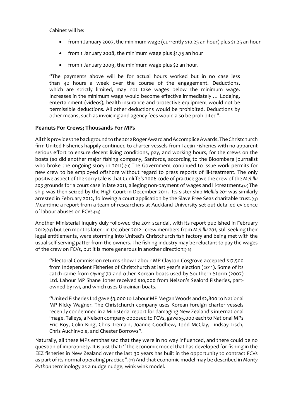Cabinet will be:

- from 1 January 2007, the minimum wage (currently \$10.25 an hour) plus \$1.25 an hour
- from 1 January 2008, the minimum wage plus \$1.75 an hour
- from 1 January 2009, the minimum wage plus \$2 an hour.

"The payments above will be for actual hours worked but in no case less than 42 hours a week over the course of the engagement. Deductions, which are strictly limited, may not take wages below the minimum wage. Increases in the minimum wage would become effective immediately ... Lodging. entertainment (videos), health insurance and protective equipment would not be permissible deductions. All other deductions would be prohibited. Deductions by other means, such as invoicing and agency fees would also be prohibited".

#### **Peanuts For Crews; Thousands For MPs**

All this provides the background to the 2012 Roger Award and Accomplice Awards. The Christchurch firm United Fisheries happily continued to charter vessels from Taejin Fisheries with no apparent serious effort to ensure decent living conditions, pay, and working hours, for the crews on the boats (so did another major fishing company, Sanfords, according to the Bloomberg journalist who broke the ongoing story in 2011).(11) The Government continued to issue work permits for new crew to be employed offshore without regard to press reports of ill-treatment. The only positive aspect of the sorry tale is that Cunliffe's 2006 code of practice gave the crew of the Melilla 203 grounds for a court case in late 2011, alleging non-payment of wages and ill-treatment.(12) The ship was then seized by the High Court in December 2011. Its sister ship Mellila 201 was similarly arrested in February 2012, following a court application by the Slave Free Seas charitable trust.(13) Meantime a report from a team of researchers at Auckland University set out detailed evidence of labour abuses on FCVs.(14)

Another Ministerial Inquiry duly followed the 2011 scandal, with its report published in February 2012;(15) but ten months later - in October 2012 - crew members from Melilla 201, still seeking their legal entitlements, were storming into United's Christchurch fish factory and being met with the usual self-serving patter from the owners. The fishing industry may be reluctant to pay the wages of the crew on FCVs, but it is more generous in another direction:(16)

"Electoral Commission returns show Labour MP Clayton Cosgrove accepted \$17,500 from Independent Fisheries of Christchurch at last year's election (2011). Some of its catch came from *Oyang 70* and other Korean boats used by Southern Storm (2007) Ltd. Labour MP Shane Jones received \$10,000 from Nelson's Sealord Fisheries, partowned by iwi, and which uses Ukrainian boats.

"United Fisheries Ltd gave \$3,000 to Labour MP Megan Woods and \$2,800 to National MP Nicky Wagner. The Christchurch company uses Korean foreign charter vessels recently condemned in a Ministerial report for damaging New Zealand's international image. Talleys, a Nelson company opposed to FCVs, gave \$5,000 each to National MPs Eric Roy, Colin King, Chris Tremain, Joanne Goodhew, Todd McClay, Lindsay Tisch, Chris Auchinvole, and Chester Borrows".

Naturally, all these MPs emphasised that they were in no way influenced, and there could be no question of impropriety. It is just that: "The economic model that has developed for fishing in the EEZ fisheries in New Zealand over the last 30 years has built in the opportunity to contract FCVs as part of its normal operating practice".(17) And that economic model may be described in Monty Python terminology as a nudge nudge, wink wink model.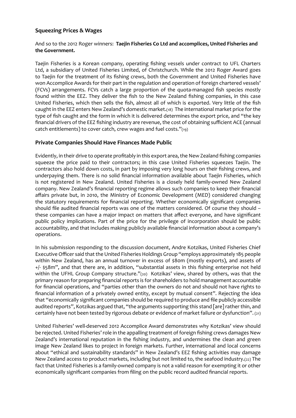#### **Squeezing Prices & Wages**

#### And so to the 2012 Roger winners: Taejin Fisheries Co Ltd and accomplices, United Fisheries and **the Government.**

Taejin Fisheries is a Korean company, operating fishing vessels under contract to UFL Charters Ltd, a subsidiary of United Fisheries Limited, of Christchurch. While the 2012 Roger Award goes to Taejin for the treatment of its fishing crews, both the Government and United Fisheries have won Accomplice Awards for their part in the regulation and operation of foreign chartered vessels' (FCVs) arrangements. FCVs catch a large proportion of the quota-managed fish species mostly found within the EEZ. They deliver the fish to the New Zealand fishing companies, in this case United Fisheries, which then sells the fish, almost all of which is exported. Very little of the fish caught in the EEZ enters New Zealand's domestic market.(18) The international market price for the type of fish caught and the form in which it is delivered determines the export price, and "the key financial drivers of the EEZ fishing industry are revenue, the cost of obtaining sufficient ACE (annual catch entitlements) to cover catch, crew wages and fuel costs."(19)

#### **Private Companies Should Have Finances Made Public**

Evidently, in their drive to operate profitably in this export area, the New Zealand fishing companies squeeze the price paid to their contractors; in this case United Fisheries squeezes Taejin. The contractors also hold down costs, in part by imposing very long hours on their fishing crews, and underpaying them. There is no solid financial information available about Taejin Fisheries, which is not registered in New Zealand. United Fisheries is a closely held family-owned New Zealand company. New Zealand's financial reporting regime allows such companies to keep their financial affairs private but, in 2010, the Ministry of Economic Development (MED) considered changing the statutory requirements for financial reporting. Whether economically significant companies should file audited financial reports was one of the matters considered. Of course they should these companies can have a major impact on matters that affect everyone, and have significant public policy implications. Part of the price for the privilege of incorporation should be public accountability, and that includes making publicly available financial information about a company's operations.

In his submission responding to the discussion document, Andre Kotzikas, United Fisheries Chief Executive Officer said that the United Fisheries Holdings Group "employs approximately 185 people within New Zealand, has an annual turnover in excess of \$80m (mostly exports), and assets of +/- \$58m", and that there are, in addition, "substantial assets in this fishing enterprise not held within the UFHL Group Company structure."(20) Kotzikas' view, shared by others, was that the primary reason for preparing financial reports is for shareholders to hold management accountable for financial operations, and "parties other than the owners do not and should not have rights to financial information of a privately owned entity, except by mutual consent". Rejecting the idea that "economically significant companies should be required to produce and file publicly accessible audited reports", Kotzikas argued that, "the arguments supporting this stand [are] rather thin, and certainly have not been tested by rigorous debate or evidence of market failure or dysfunction". (21)

United Fisheries' well-deserved 2012 Accomplice Award demonstrates why Kotzikas' view should be rejected. United Fisheries' role in the appalling treatment of foreign fishing crews damages New Zealand's international reputation in the fishing industry, and undermines the clean and green image New Zealand likes to project in foreign markets. Further, international and local concerns about "ethical and sustainability standards" in New Zealand's EEZ fishing activities may damage New Zealand access to product markets, including but not limited to, the seafood industry.(22) The fact that United Fisheries is a family-owned company is not a valid reason for exempting it or other economically significant companies from filing on the public record audited financial reports.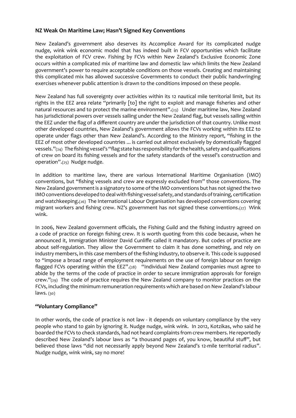#### **NZ Weak On Maritime Law; Hasn't Signed Key Conventions**

New Zealand's government also deserves its Accomplice Award for its complicated nudge nudge, wink wink economic model that has indeed built in FCV opportunities which facilitate the exploitation of FCV crew. Fishing by FCVs within New Zealand's Exclusive Economic Zone occurs within a complicated mix of maritime law and domestic law which limits the New Zealand government's power to require acceptable conditions on those vessels. Creating and maintaining this complicated mix has allowed successive Governments to conduct their public handwringing exercises whenever public attention is drawn to the conditions imposed on these people.

New Zealand has full sovereignty over activities within its 12 nautical mile territorial limit, but its rights in the EEZ area relate "primarily [to] the right to exploit and manage fisheries and other natural resources and to protect the marine environment".(23) Under maritime law, New Zealand has jurisdictional powers over vessels sailing under the New Zealand flag, but vessels sailing within the EEZ under the flag of a different country are under the jurisdiction of that country. Unlike most other developed countries, New Zealand's government allows the FCVs working within its EEZ to operate under flags other than New Zealand's. According to the Ministry report, "fishing in the EEZ of most other developed countries ... is carried out almost exclusively by domestically flagged vessels." $(z_4)$  The fishing vessel's "flag state has responsibility for the health, safety and qualifications of crew on board its fishing vessels and for the safety standards of the vessel's construction and operation".(25) Nudge nudge.

In addition to maritime law, there are various International Maritime Organisation (IMO) conventions, but "fishing vessels and crew are expressly excluded from" those conventions. The New Zealand government is a signatory to some of the IMO conventions but has not signed the two IMO conventions developed to deal with fishing vessel safety, and standards of training, certification and watchkeeping.(26) The International Labour Organisation has developed conventions covering migrant workers and fishing crew. NZ's government has not signed these conventions.(27) Wink wink.

In 2006, New Zealand government officials, the Fishing Guild and the fishing industry agreed on a code of practice on foreign fishing crew. It is worth quoting from this code because, when he announced it, Immigration Minister David Cunliffe called it mandatory. But codes of practice are about self-regulation. They allow the Government to claim it has done something, and rely on industry members, in this case members of the fishing industry, to observe it. This code is supposed to "impose a broad range of employment requirements on the use of foreign labour on foreign flagged FCVs operating within the EEZ".(28) "Individual New Zealand companies must agree to abide by the terms of the code of practice in order to secure immigration approvals for foreign  $C$ rew." $(z<sub>9</sub>)$  The code of practice requires the New Zealand company to monitor practices on the FCVs, including the minimum remuneration requirements which are based on New Zealand's labour laws. (30)

## **"Voluntary Compliance"**

In other words, the code of practice is not law - it depends on voluntary compliance by the very people who stand to gain by ignoring it. Nudge nudge, wink wink. In 2012, Kotzikas, who said he boarded the FCVs to check standards, had not heard complaints from crew members. He reportedly described New Zealand's labour laws as "a thousand pages of, you know, beautiful stuff", but believed those laws "did not necessarily apply beyond New Zealand's 12-mile territorial radius". Nudge nudge, wink wink, say no more!